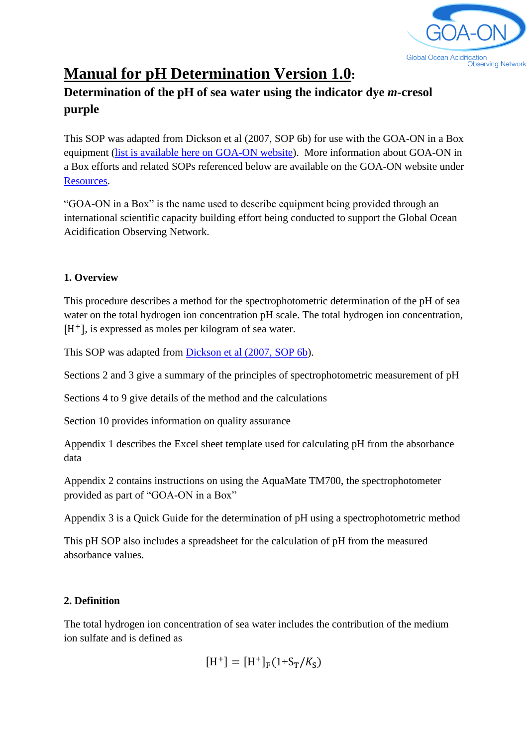

# **Manual for pH Determination Version 1.0:**

# **Determination of the pH of sea water using the indicator dye** *m***-cresol purple**

This SOP was adapted from Dickson et al (2007, SOP 6b) for use with the GOA-ON in a Box equipment [\(list is available here on GOA-ON website\)](https://docs.google.com/spreadsheets/d/1urJvWj4ZwLG7NNwvebNYK6AstpFAsWW-YbtHTcJ8I_M/edit#gid=549840325). More information about GOA-ON in a Box efforts and related SOPs referenced below are available on the GOA-ON website under [Resources.](http://www.goa-on.org/resources/kits.php)

"GOA-ON in a Box" is the name used to describe equipment being provided through an international scientific capacity building effort being conducted to support the Global Ocean Acidification Observing Network.

#### **1. Overview**

This procedure describes a method for the spectrophotometric determination of the pH of sea water on the total hydrogen ion concentration pH scale. The total hydrogen ion concentration, [H<sup>+</sup>], is expressed as moles per kilogram of sea water.

This SOP was adapted from [Dickson et al \(2007, SOP 6b\)](https://cdiac.ess-dive.lbl.gov/ftp/oceans/Handbook_2007/Guide_all_in_one.pdf).

Sections 2 and 3 give a summary of the principles of spectrophotometric measurement of pH

Sections 4 to 9 give details of the method and the calculations

Section 10 provides information on quality assurance

Appendix 1 describes the Excel sheet template used for calculating pH from the absorbance data

Appendix 2 contains instructions on using the AquaMate TM700, the spectrophotometer provided as part of "GOA-ON in a Box"

Appendix 3 is a Quick Guide for the determination of pH using a spectrophotometric method

This pH SOP also includes a spreadsheet for the calculation of pH from the measured absorbance values.

#### **2. Definition**

The total hydrogen ion concentration of sea water includes the contribution of the medium ion sulfate and is defined as

$$
[H^+] = [H^+]_F (1 + S_T / K_S)
$$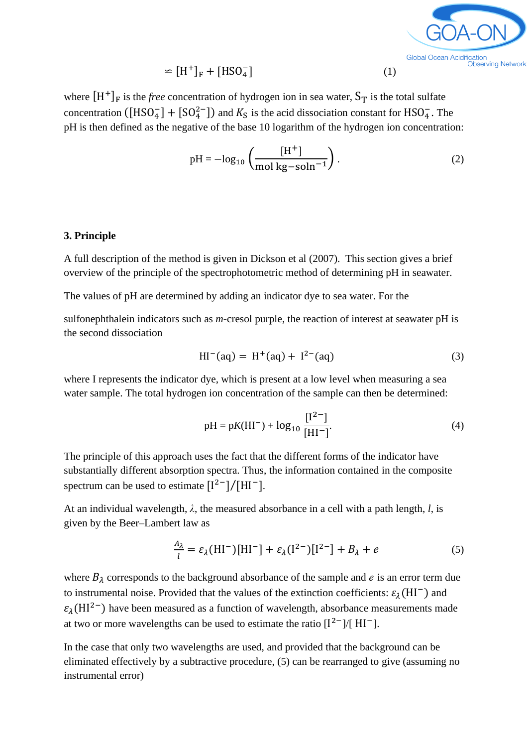

$$
\simeq \left[\mathrm{H}^+\right]_{\mathrm{F}} + \left[\mathrm{HSO}_4^-\right] \tag{1}
$$

where  $[H^+]_F$  is the *free* concentration of hydrogen ion in sea water,  $S_T$  is the total sulfate concentration ([HSO<sub>4</sub>] + [SO<sub>4</sub><sup>2</sup>-]) and  $K_S$  is the acid dissociation constant for HSO<sub>4</sub>. The pH is then defined as the negative of the base 10 logarithm of the hydrogen ion concentration:

$$
pH = -\log_{10}\left(\frac{[H^+]}{\text{mol kg-soln}^{-1}}\right). \tag{2}
$$

#### **3. Principle**

A full description of the method is given in Dickson et al (2007). This section gives a brief overview of the principle of the spectrophotometric method of determining pH in seawater.

The values of pH are determined by adding an indicator dye to sea water. For the

sulfonephthalein indicators such as *m*-cresol purple, the reaction of interest at seawater pH is the second dissociation

$$
HI^{-}(aq) = H^{+}(aq) + I^{2-}(aq)
$$
 (3)

where I represents the indicator dye, which is present at a low level when measuring a sea water sample. The total hydrogen ion concentration of the sample can then be determined:

$$
pH = pK(HI^{-}) + log_{10} \frac{[I^{2-}]}{[HI^{-}]}.
$$
\n(4)

The principle of this approach uses the fact that the different forms of the indicator have substantially different absorption spectra. Thus, the information contained in the composite spectrum can be used to estimate  $[I^{2-}]/[HI^{-}]$ .

At an individual wavelength, *λ*, the measured absorbance in a cell with a path length, *l*, is given by the Beer–Lambert law as

$$
\frac{A_{\lambda}}{l} = \varepsilon_{\lambda}(\mathbf{H}\mathbf{I}^{-})[\mathbf{H}\mathbf{I}^{-}] + \varepsilon_{\lambda}(\mathbf{I}^{2-})[\mathbf{I}^{2-}] + B_{\lambda} + e \tag{5}
$$

where  $B_{\lambda}$  corresponds to the background absorbance of the sample and e is an error term due to instrumental noise. Provided that the values of the extinction coefficients:  $\varepsilon_{\lambda}(\text{HI}^{-})$  and  $\varepsilon_1(HI^{2-})$  have been measured as a function of wavelength, absorbance measurements made at two or more wavelengths can be used to estimate the ratio  $[I^{2-}]/[HI^{-}]$ .

In the case that only two wavelengths are used, and provided that the background can be eliminated effectively by a subtractive procedure, (5) can be rearranged to give (assuming no instrumental error)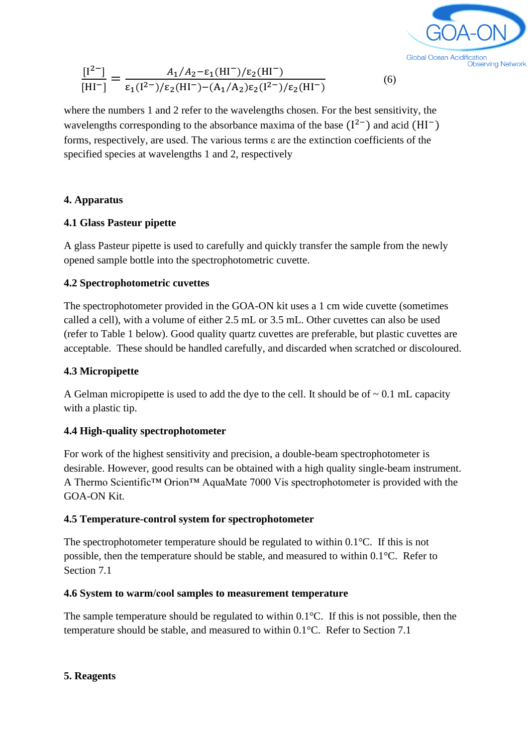

(6)

$$
\frac{[I^{2-}]}{[HI^-]} = \frac{A_1/A_2 - \varepsilon_1(H\Gamma^-)/\varepsilon_2(H\Gamma^-)}{\varepsilon_1(I^{2-})/\varepsilon_2(H\Gamma^-) - (A_1/A_2)\varepsilon_2(I^{2-})/\varepsilon_2(H\Gamma^-)}
$$

where the numbers 1 and 2 refer to the wavelengths chosen. For the best sensitivity, the wavelengths corresponding to the absorbance maxima of the base  $(I^{2-})$  and acid  $(HI^{-})$ forms, respectively, are used. The various terms ε are the extinction coefficients of the specified species at wavelengths 1 and 2, respectively

#### **4. Apparatus**

#### **4.1 Glass Pasteur pipette**

A glass Pasteur pipette is used to carefully and quickly transfer the sample from the newly opened sample bottle into the spectrophotometric cuvette.

#### **4.2 Spectrophotometric cuvettes**

The spectrophotometer provided in the GOA-ON kit uses a 1 cm wide cuvette (sometimes called a cell), with a volume of either 2.5 mL or 3.5 mL. Other cuvettes can also be used (refer to Table 1 below). Good quality quartz cuvettes are preferable, but plastic cuvettes are acceptable. These should be handled carefully, and discarded when scratched or discoloured.

#### **4.3 Micropipette**

A Gelman micropipette is used to add the dye to the cell. It should be of  $\sim 0.1$  mL capacity with a plastic tip.

#### **4.4 High-quality spectrophotometer**

For work of the highest sensitivity and precision, a double-beam spectrophotometer is desirable. However, good results can be obtained with a high quality single-beam instrument. A Thermo Scientific™ Orion™ AquaMate 7000 Vis spectrophotometer is provided with the GOA-ON Kit.

#### **4.5 Temperature-control system for spectrophotometer**

The spectrophotometer temperature should be regulated to within 0.1°C. If this is not possible, then the temperature should be stable, and measured to within 0.1°C. Refer to Section 7.1

#### **4.6 System to warm/cool samples to measurement temperature**

The sample temperature should be regulated to within 0.1°C. If this is not possible, then the temperature should be stable, and measured to within 0.1°C. Refer to Section 7.1

#### **5. Reagents**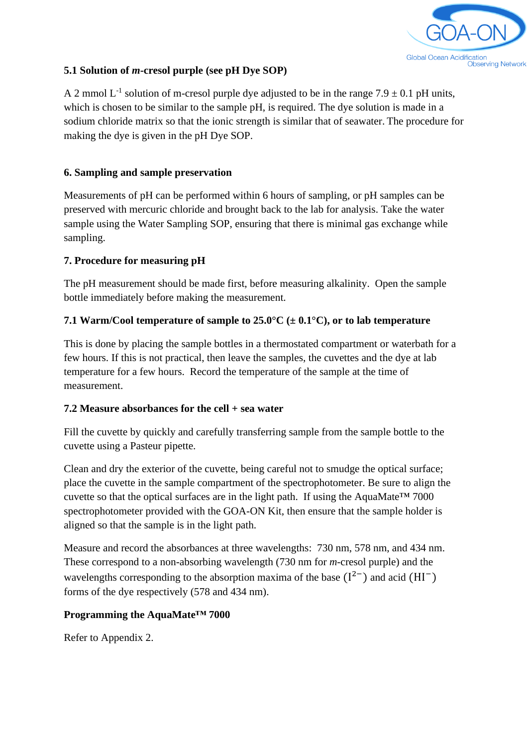

#### **5.1 Solution of** *m***-cresol purple (see pH Dye SOP)**

A 2 mmol L<sup>-1</sup> solution of m-cresol purple dye adjusted to be in the range  $7.9 \pm 0.1$  pH units, which is chosen to be similar to the sample pH, is required. The dye solution is made in a sodium chloride matrix so that the ionic strength is similar that of seawater. The procedure for making the dye is given in the pH Dye SOP.

#### **6. Sampling and sample preservation**

Measurements of pH can be performed within 6 hours of sampling, or pH samples can be preserved with mercuric chloride and brought back to the lab for analysis. Take the water sample using the Water Sampling SOP, ensuring that there is minimal gas exchange while sampling.

#### **7. Procedure for measuring pH**

The pH measurement should be made first, before measuring alkalinity. Open the sample bottle immediately before making the measurement.

#### **7.1 Warm/Cool temperature of sample to 25.0°C (± 0.1°C), or to lab temperature**

This is done by placing the sample bottles in a thermostated compartment or waterbath for a few hours. If this is not practical, then leave the samples, the cuvettes and the dye at lab temperature for a few hours. Record the temperature of the sample at the time of measurement.

#### **7.2 Measure absorbances for the cell + sea water**

Fill the cuvette by quickly and carefully transferring sample from the sample bottle to the cuvette using a Pasteur pipette.

Clean and dry the exterior of the cuvette, being careful not to smudge the optical surface; place the cuvette in the sample compartment of the spectrophotometer. Be sure to align the cuvette so that the optical surfaces are in the light path. If using the AquaMate<sup>TM</sup> 7000 spectrophotometer provided with the GOA-ON Kit, then ensure that the sample holder is aligned so that the sample is in the light path.

Measure and record the absorbances at three wavelengths: 730 nm, 578 nm, and 434 nm. These correspond to a non-absorbing wavelength (730 nm for *m*-cresol purple) and the wavelengths corresponding to the absorption maxima of the base  $(I^{2-})$  and acid  $(HI^{-})$ forms of the dye respectively (578 and 434 nm).

#### **Programming the AquaMate™ 7000**

Refer to Appendix 2.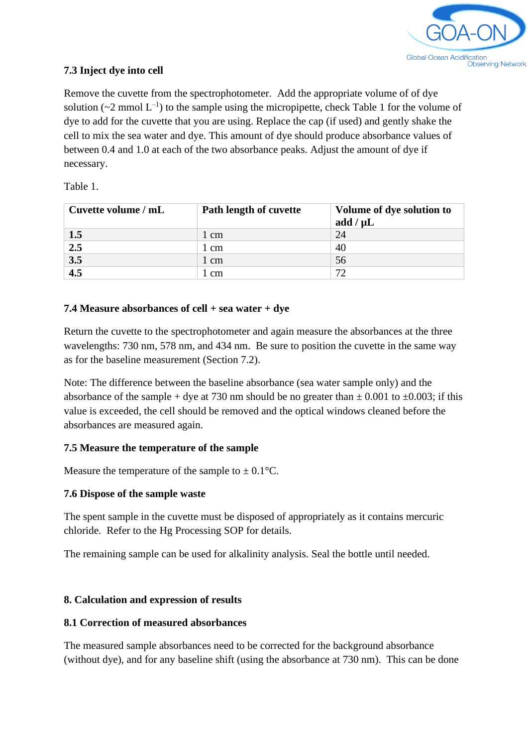

#### **7.3 Inject dye into cell**

Remove the cuvette from the spectrophotometer. Add the appropriate volume of of dye solution ( $\sim$ 2 mmol L<sup>-1</sup>) to the sample using the micropipette, check Table 1 for the volume of dye to add for the cuvette that you are using. Replace the cap (if used) and gently shake the cell to mix the sea water and dye. This amount of dye should produce absorbance values of between 0.4 and 1.0 at each of the two absorbance peaks. Adjust the amount of dye if necessary.

Table 1.

| Cuvette volume / mL | Path length of cuvette | Volume of dye solution to<br>add $/\mu L$ |  |  |  |
|---------------------|------------------------|-------------------------------------------|--|--|--|
| 1.5                 | 1 cm                   | 24                                        |  |  |  |
| $\overline{2.5}$    | 1 cm                   | 40                                        |  |  |  |
| $\overline{3.5}$    | 1 cm                   | 56                                        |  |  |  |
| $\overline{4.5}$    | 1 cm                   | 72                                        |  |  |  |

#### **7.4 Measure absorbances of cell + sea water + dye**

Return the cuvette to the spectrophotometer and again measure the absorbances at the three wavelengths: 730 nm, 578 nm, and 434 nm. Be sure to position the cuvette in the same way as for the baseline measurement (Section 7.2).

Note: The difference between the baseline absorbance (sea water sample only) and the absorbance of the sample + dye at 730 nm should be no greater than  $\pm$  0.001 to  $\pm$ 0.003; if this value is exceeded, the cell should be removed and the optical windows cleaned before the absorbances are measured again.

#### **7.5 Measure the temperature of the sample**

Measure the temperature of the sample to  $\pm$  0.1°C.

#### **7.6 Dispose of the sample waste**

The spent sample in the cuvette must be disposed of appropriately as it contains mercuric chloride. Refer to the Hg Processing SOP for details.

The remaining sample can be used for alkalinity analysis. Seal the bottle until needed.

#### **8. Calculation and expression of results**

#### **8.1 Correction of measured absorbances**

The measured sample absorbances need to be corrected for the background absorbance (without dye), and for any baseline shift (using the absorbance at 730 nm). This can be done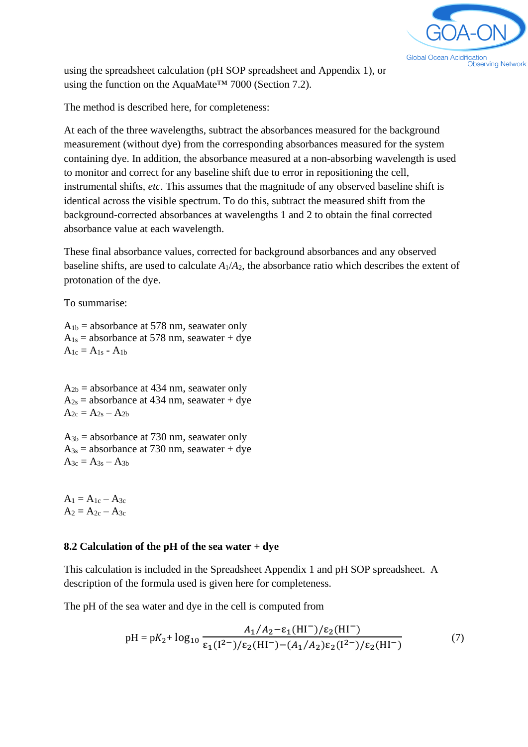

using the spreadsheet calculation (pH SOP spreadsheet and Appendix 1), or using the function on the AquaMate™ 7000 (Section 7.2).

The method is described here, for completeness:

At each of the three wavelengths, subtract the absorbances measured for the background measurement (without dye) from the corresponding absorbances measured for the system containing dye. In addition, the absorbance measured at a non-absorbing wavelength is used to monitor and correct for any baseline shift due to error in repositioning the cell, instrumental shifts, *etc*. This assumes that the magnitude of any observed baseline shift is identical across the visible spectrum. To do this, subtract the measured shift from the background-corrected absorbances at wavelengths 1 and 2 to obtain the final corrected absorbance value at each wavelength.

These final absorbance values, corrected for background absorbances and any observed baseline shifts, are used to calculate  $A_1/A_2$ , the absorbance ratio which describes the extent of protonation of the dye.

To summarise:

 $A_{1b}$  = absorbance at 578 nm, seawater only  $A_{1s}$  = absorbance at 578 nm, seawater + dye  $A_{1c} = A_{1s} - A_{1b}$ 

 $A_{2b}$  = absorbance at 434 nm, seawater only  $A_{2s}$  = absorbance at 434 nm, seawater + dye  $A_{2c} = A_{2s} - A_{2b}$ 

 $A_{3b}$  = absorbance at 730 nm, seawater only  $A_{3s}$  = absorbance at 730 nm, seawater + dye  $A_{3c} = A_{3s} - A_{3b}$ 

 $A_1 = A_{1c} - A_{3c}$  $A_2 = A_{2c} - A_{3c}$ 

#### **8.2 Calculation of the pH of the sea water + dye**

This calculation is included in the Spreadsheet Appendix 1 and pH SOP spreadsheet. A description of the formula used is given here for completeness.

The pH of the sea water and dye in the cell is computed from

$$
pH = pK_2 + log_{10} \frac{A_1/A_2 - \varepsilon_1(H\Gamma)/\varepsilon_2(H\Gamma)}{\varepsilon_1(I^2^-)/\varepsilon_2(H\Gamma) - (A_1/A_2)\varepsilon_2(I^2^-)/\varepsilon_2(H\Gamma)}
$$
(7)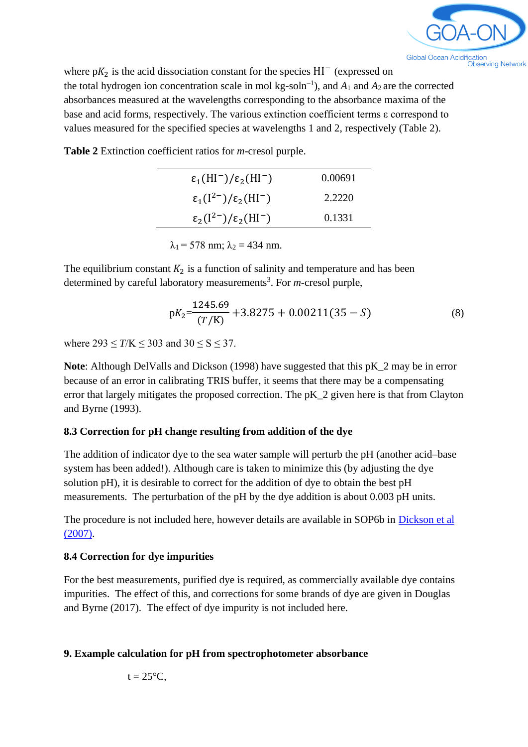

where  $pK_2$  is the acid dissociation constant for the species HI<sup>-</sup> (expressed on the total hydrogen ion concentration scale in mol  $kg$ -soln<sup>-1</sup>), and  $A_1$  and  $A_2$  are the corrected absorbances measured at the wavelengths corresponding to the absorbance maxima of the base and acid forms, respectively. The various extinction coefficient terms ε correspond to values measured for the specified species at wavelengths 1 and 2, respectively (Table 2).

**Table 2** Extinction coefficient ratios for *m*-cresol purple.

| $\epsilon_1(HI^-)/\epsilon_2(HI^-)$   | 0.00691 |
|---------------------------------------|---------|
| $\epsilon_1(I^{2-})/\epsilon_2(HI^-)$ | 2.2220  |
| $\epsilon_2(I^{2-})/\epsilon_2(HI^-)$ | 0.1331  |

 $\lambda_1$  = 578 nm;  $\lambda_2$  = 434 nm.

The equilibrium constant  $K_2$  is a function of salinity and temperature and has been determined by careful laboratory measurements<sup>3</sup>. For *m*-cresol purple,

$$
pK_2 = \frac{1245.69}{(T/K)} + 3.8275 + 0.00211(35 - S)
$$
 (8)

where  $293 \le T/K \le 303$  and  $30 \le S \le 37$ .

**Note**: Although DelValls and Dickson (1998) have suggested that this pK\_2 may be in error because of an error in calibrating TRIS buffer, it seems that there may be a compensating error that largely mitigates the proposed correction. The pK\_2 given here is that from Clayton and Byrne (1993).

#### **8.3 Correction for pH change resulting from addition of the dye**

The addition of indicator dye to the sea water sample will perturb the pH (another acid–base system has been added!). Although care is taken to minimize this (by adjusting the dye solution pH), it is desirable to correct for the addition of dye to obtain the best pH measurements. The perturbation of the pH by the dye addition is about 0.003 pH units.

The procedure is not included here, however details are available in SOP6b in [Dickson et al](https://cdiac.ess-dive.lbl.gov/ftp/oceans/Handbook_2007/Guide_all_in_one.pdf)  [\(2007\).](https://cdiac.ess-dive.lbl.gov/ftp/oceans/Handbook_2007/Guide_all_in_one.pdf)

#### **8.4 Correction for dye impurities**

For the best measurements, purified dye is required, as commercially available dye contains impurities. The effect of this, and corrections for some brands of dye are given in Douglas and Byrne (2017). The effect of dye impurity is not included here.

#### **9. Example calculation for pH from spectrophotometer absorbance**

$$
t=25^{\circ}C,
$$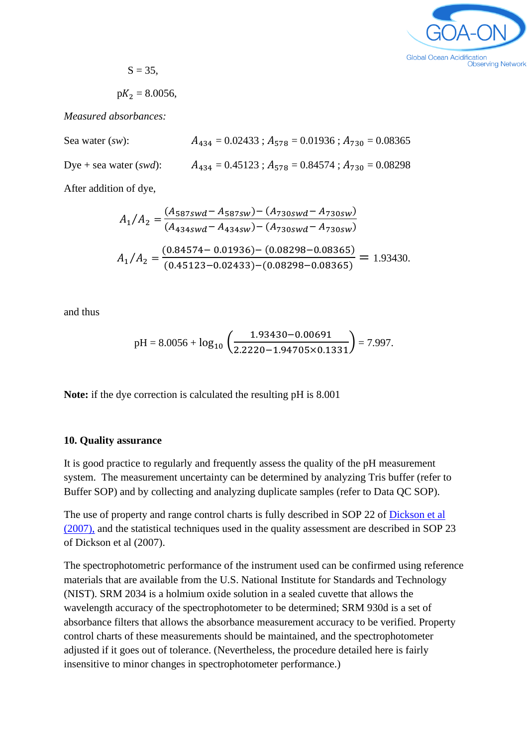

 $S = 35$ ,

 $pK_2 = 8.0056$ ,

*Measured absorbances:*

Sea water (*sw*):  $A_{434} = 0.02433$ ;  $A_{578} = 0.01936$ ;  $A_{730} = 0.08365$ Dye + sea water (*swd*):  $A_{434} = 0.45123$ ;  $A_{578} = 0.84574$ ;  $A_{730} = 0.08298$ 

After addition of dye,

$$
A_1/A_2 = \frac{(A_{587swd} - A_{587sw}) - (A_{730swd} - A_{730sw})}{(A_{434swd} - A_{434sw}) - (A_{730swd} - A_{730sw})}
$$
  

$$
A_1/A_2 = \frac{(0.84574 - 0.01936) - (0.08298 - 0.08365)}{(0.45123 - 0.02433) - (0.08298 - 0.08365)} = 1.93430.
$$

and thus

$$
pH = 8.0056 + log_{10} \left( \frac{1.93430 - 0.00691}{2.2220 - 1.94705 \times 0.1331} \right) = 7.997.
$$

**Note:** if the dye correction is calculated the resulting pH is 8.001

#### **10. Quality assurance**

It is good practice to regularly and frequently assess the quality of the pH measurement system. The measurement uncertainty can be determined by analyzing Tris buffer (refer to Buffer SOP) and by collecting and analyzing duplicate samples (refer to Data QC SOP).

The use of property and range control charts is fully described in SOP 22 of [Dickson et al](https://cdiac.ess-dive.lbl.gov/ftp/oceans/Handbook_2007/Guide_all_in_one.pdf)  [\(2007\),](https://cdiac.ess-dive.lbl.gov/ftp/oceans/Handbook_2007/Guide_all_in_one.pdf) and the statistical techniques used in the quality assessment are described in SOP 23 of Dickson et al (2007).

The spectrophotometric performance of the instrument used can be confirmed using reference materials that are available from the U.S. National Institute for Standards and Technology (NIST). SRM 2034 is a holmium oxide solution in a sealed cuvette that allows the wavelength accuracy of the spectrophotometer to be determined; SRM 930d is a set of absorbance filters that allows the absorbance measurement accuracy to be verified. Property control charts of these measurements should be maintained, and the spectrophotometer adjusted if it goes out of tolerance. (Nevertheless, the procedure detailed here is fairly insensitive to minor changes in spectrophotometer performance.)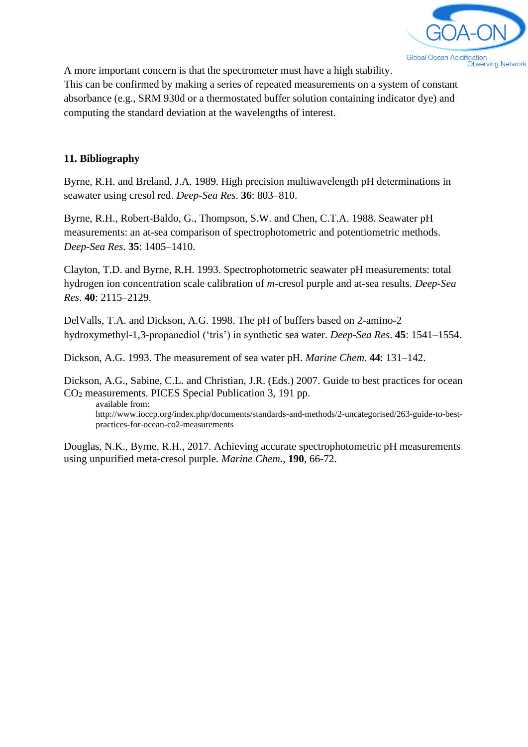

A more important concern is that the spectrometer must have a high stability.

This can be confirmed by making a series of repeated measurements on a system of constant absorbance (e.g., SRM 930d or a thermostated buffer solution containing indicator dye) and computing the standard deviation at the wavelengths of interest.

#### **11. Bibliography**

Byrne, R.H. and Breland, J.A. 1989. High precision multiwavelength pH determinations in seawater using cresol red. *Deep-Sea Res*. **36**: 803–810.

Byrne, R.H., Robert-Baldo, G., Thompson, S.W. and Chen, C.T.A. 1988. Seawater pH measurements: an at-sea comparison of spectrophotometric and potentiometric methods. *Deep-Sea Res*. **35**: 1405–1410.

Clayton, T.D. and Byrne, R.H. 1993. Spectrophotometric seawater pH measurements: total hydrogen ion concentration scale calibration of *m*-cresol purple and at-sea results. *Deep-Sea Res*. **40**: 2115–2129.

DelValls, T.A. and Dickson, A.G. 1998. The pH of buffers based on 2-amino-2 hydroxymethyl-1,3-propanediol ('tris') in synthetic sea water. *Deep-Sea Res*. **45**: 1541–1554.

Dickson, A.G. 1993. The measurement of sea water pH. *Marine Chem*. **44**: 131–142.

Dickson, A.G., Sabine, C.L. and Christian, J.R. (Eds.) 2007. Guide to best practices for ocean CO<sup>2</sup> measurements. PICES Special Publication 3, 191 pp.

available from: http://www.ioccp.org/index.php/documents/standards-and-methods/2-uncategorised/263-guide-to-bestpractices-for-ocean-co2-measurements

Douglas, N.K., Byrne, R.H., 2017. Achieving accurate spectrophotometric pH measurements using unpurified meta-cresol purple. *Marine Chem.*, **190**, 66-72.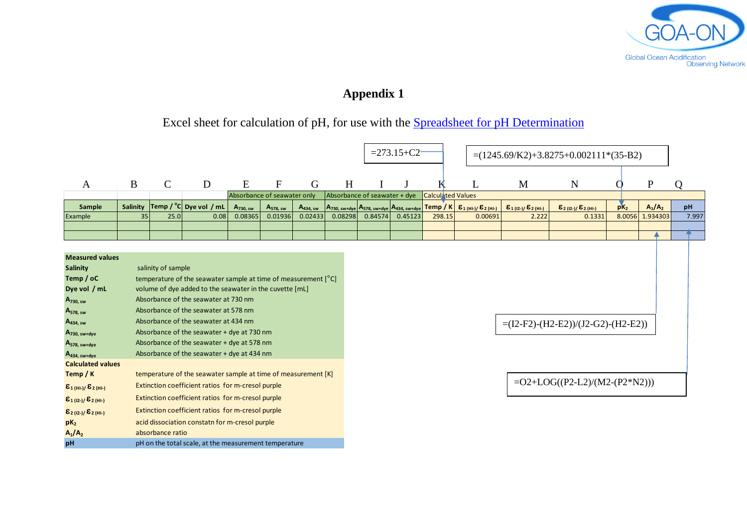

# **Appendix 1**

# Excel sheet for calculation of pH, for use with the [Spreadsheet for pH Determination](http://www.goa-on.org/documents/kits/ph_determination_spreadsheet.xlsx)

|                                                      |                                                               |                    |                                                                |                                 |                                 |                                 |                                                                                                                                               | $= 273.15 + C2$ |                          |        |                                                 | $=(1245.69/K2)+3.8275+0.002111*(35-B2)$          |                                                        |          |                       |             |
|------------------------------------------------------|---------------------------------------------------------------|--------------------|----------------------------------------------------------------|---------------------------------|---------------------------------|---------------------------------|-----------------------------------------------------------------------------------------------------------------------------------------------|-----------------|--------------------------|--------|-------------------------------------------------|--------------------------------------------------|--------------------------------------------------------|----------|-----------------------|-------------|
| A                                                    | $\bf{B}$                                                      | $\mathcal{C}$      | D                                                              | E                               | F                               | G                               | H                                                                                                                                             |                 |                          |        |                                                 | M                                                | N                                                      |          | $\mathbf{P}$          |             |
|                                                      |                                                               |                    |                                                                | Absorbance of seawater only     |                                 |                                 | Absorbance of seawater + dye<br>$\left  A_{730,\text{ sw+dye}} \right  A_{578,\text{ sw+dye}} \left  A_{434,\text{ sw+dye}} \right $ Temp / K |                 | <b>Calculated Values</b> |        |                                                 |                                                  |                                                        |          |                       |             |
| Sample                                               | <b>Salinity</b><br>35                                         | 25.0               | Temp / $^{\circ}$ C Dye vol / mL<br>0.08                       | $A_{730. \text{sw}}$<br>0.08365 | $A_{578, \text{sw}}$<br>0.01936 | A <sub>434, sw</sub><br>0.02433 | 0.08298                                                                                                                                       | 0.84574         | 0.45123                  | 298.15 | $\epsilon_{1(HL)/} \epsilon_{2(HL)}$<br>0.00691 | $\epsilon_{1(12-1)}/\epsilon_{2(11-1)}$<br>2.222 | $\mathcal{E}_{2(12-1)}/\mathcal{E}_{2(H1-)}$<br>0.1331 | $pK_{2}$ | $A_1/A_2$<br>1.934303 | pH<br>7.997 |
| Example                                              |                                                               |                    |                                                                |                                 |                                 |                                 |                                                                                                                                               |                 |                          |        |                                                 |                                                  |                                                        | 8.0056   |                       |             |
|                                                      |                                                               |                    |                                                                |                                 |                                 |                                 |                                                                                                                                               |                 |                          |        |                                                 |                                                  |                                                        |          |                       |             |
|                                                      |                                                               |                    |                                                                |                                 |                                 |                                 |                                                                                                                                               |                 |                          |        |                                                 |                                                  |                                                        |          |                       |             |
| <b>Measured values</b>                               |                                                               |                    |                                                                |                                 |                                 |                                 |                                                                                                                                               |                 |                          |        |                                                 |                                                  |                                                        |          |                       |             |
| <b>Salinity</b>                                      |                                                               | salinity of sample |                                                                |                                 |                                 |                                 |                                                                                                                                               |                 |                          |        |                                                 |                                                  |                                                        |          |                       |             |
| Temp / oC                                            |                                                               |                    | temperature of the seawater sample at time of measurement [°C] |                                 |                                 |                                 |                                                                                                                                               |                 |                          |        |                                                 |                                                  |                                                        |          |                       |             |
| Dye vol / mL                                         | volume of dye added to the seawater in the cuvette [mL]       |                    |                                                                |                                 |                                 |                                 |                                                                                                                                               |                 |                          |        |                                                 |                                                  |                                                        |          |                       |             |
| $A_{730, \text{sw}}$                                 | Absorbance of the seawater at 730 nm                          |                    |                                                                |                                 |                                 |                                 |                                                                                                                                               |                 |                          |        |                                                 |                                                  |                                                        |          |                       |             |
| A <sub>578, sw</sub>                                 | Absorbance of the seawater at 578 nm                          |                    |                                                                |                                 |                                 |                                 |                                                                                                                                               |                 |                          |        |                                                 |                                                  |                                                        |          |                       |             |
| $A_{434, \text{sw}}$                                 | Absorbance of the seawater at 434 nm                          |                    |                                                                |                                 |                                 |                                 |                                                                                                                                               |                 |                          |        | $=(I2-F2)-(H2-E2))/(J2-G2)-(H2-E2))$            |                                                  |                                                        |          |                       |             |
| $A_{730, \text{ sw+dye}}$                            | Absorbance of the seawater + dye at 730 nm                    |                    |                                                                |                                 |                                 |                                 |                                                                                                                                               |                 |                          |        |                                                 |                                                  |                                                        |          |                       |             |
| A <sub>578, sw+dye</sub>                             | Absorbance of the seawater + dye at 578 nm                    |                    |                                                                |                                 |                                 |                                 |                                                                                                                                               |                 |                          |        |                                                 |                                                  |                                                        |          |                       |             |
| $A_{434, sw+dye}$                                    | Absorbance of the seawater + dye at 434 nm                    |                    |                                                                |                                 |                                 |                                 |                                                                                                                                               |                 |                          |        |                                                 |                                                  |                                                        |          |                       |             |
| <b>Calculated values</b>                             |                                                               |                    |                                                                |                                 |                                 |                                 |                                                                                                                                               |                 |                          |        |                                                 |                                                  |                                                        |          |                       |             |
| Temp / K                                             | temperature of the seawater sample at time of measurement [K] |                    |                                                                |                                 |                                 |                                 |                                                                                                                                               |                 |                          |        |                                                 |                                                  |                                                        |          |                       |             |
| ${\epsilon_1}_{(HI-1)}/ {\epsilon_2}_{(HI-1)}$       | Extinction coefficient ratios for m-cresol purple             |                    |                                                                |                                 |                                 |                                 |                                                                                                                                               |                 |                          |        |                                                 | $=O2+LOG((P2-L2)/(M2-(P2*N2)))$                  |                                                        |          |                       |             |
| $\epsilon_{1(12-1)}/\epsilon_{2(H1-)}$               | Extinction coefficient ratios for m-cresol purple             |                    |                                                                |                                 |                                 |                                 |                                                                                                                                               |                 |                          |        |                                                 |                                                  |                                                        |          |                       |             |
| $\epsilon_{\text{2 (12-)}}\epsilon_{\text{2 (HI-)}}$ | Extinction coefficient ratios for m-cresol purple             |                    |                                                                |                                 |                                 |                                 |                                                                                                                                               |                 |                          |        |                                                 |                                                  |                                                        |          |                       |             |
| $pK_2$                                               | acid dissociation constatn for m-cresol purple                |                    |                                                                |                                 |                                 |                                 |                                                                                                                                               |                 |                          |        |                                                 |                                                  |                                                        |          |                       |             |
| $A_1/A_2$                                            | absorbance ratio                                              |                    |                                                                |                                 |                                 |                                 |                                                                                                                                               |                 |                          |        |                                                 |                                                  |                                                        |          |                       |             |
| pH                                                   | pH on the total scale, at the measurement temperature         |                    |                                                                |                                 |                                 |                                 |                                                                                                                                               |                 |                          |        |                                                 |                                                  |                                                        |          |                       |             |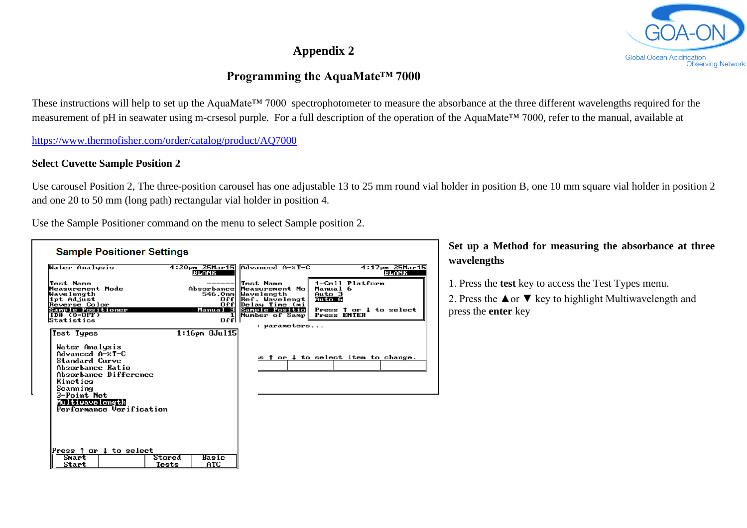# **Appendix 2**

## **Programming the AquaMate™ 7000**

These instructions will help to set up the AquaMate™ 7000 spectrophotometer to measure the absorbance at the three different wavelengths required for the measurement of pH in seawater using m-crsesol purple. For a full description of the operation of the AquaMate™ 7000, refer to the manual, available at

<https://www.thermofisher.com/order/catalog/product/AQ7000>

#### **Select Cuvette Sample Position 2**

Use carousel Position 2, The three-position carousel has one adjustable 13 to 25 mm round vial holder in position B, one 10 mm square vial holder in position 2 and one 20 to 50 mm (long path) rectangular vial holder in position 4.

Use the Sample Positioner command on the menu to select Sample position 2.

| <b>Sample Positioner Settings</b>                                                                                                                       |                                                   |                                                                                                                                                                  |                                                                                               |
|---------------------------------------------------------------------------------------------------------------------------------------------------------|---------------------------------------------------|------------------------------------------------------------------------------------------------------------------------------------------------------------------|-----------------------------------------------------------------------------------------------|
| Water Analysis                                                                                                                                          | 4:20pm 25Mar15<br>BLANK                           | Advanced A-zT-C                                                                                                                                                  | 4:17pm 25Mar15<br>BLANK                                                                       |
| Test Name<br>Measurement Mode<br>Wavelength<br>lipt Adjust<br>Reverse Color<br>Sample Positioner<br>$ID# (0=0FF)$<br>Statistics                         | $0$ f $f$<br><b>Offl</b><br>Manual 3<br>1<br>uttl | Test Name<br>Absorbance Measurement Mol<br>546.0nm Wavelength<br>Ref. Wavelengt <br>Delay Time (mi<br>Sample Positio<br>Number of Samp Press ENTER<br>parameters | 1-Cell Platform<br>Manual 6<br>Auto 3<br>Auto 6<br>Press $\uparrow$ or $\downarrow$ to select |
| Test Types<br>Water Analysis<br>$Advanced A-xT-C$<br>Standard Curve<br>Absorbance Ratio<br>Absorbance Difference<br>Kinetics<br>Scanning<br>3-Point Net | $1:16$ pm $8Ju115$                                |                                                                                                                                                                  | s f or ↓ to select item to change.                                                            |
| Multiwavelength<br>Performance Verification<br>Press $\uparrow$ or $\downarrow$ to select<br>Smart<br>Start                                             | Stored<br>Basic<br>ATC<br>Tests                   |                                                                                                                                                                  |                                                                                               |

### **Set up a Method for measuring the absorbance at three wavelengths**

1. Press the **test** key to access the Test Types menu.

2. Press the  $\triangle$  or  $\nabla$  key to highlight Multiwavelength and press the **enter** key

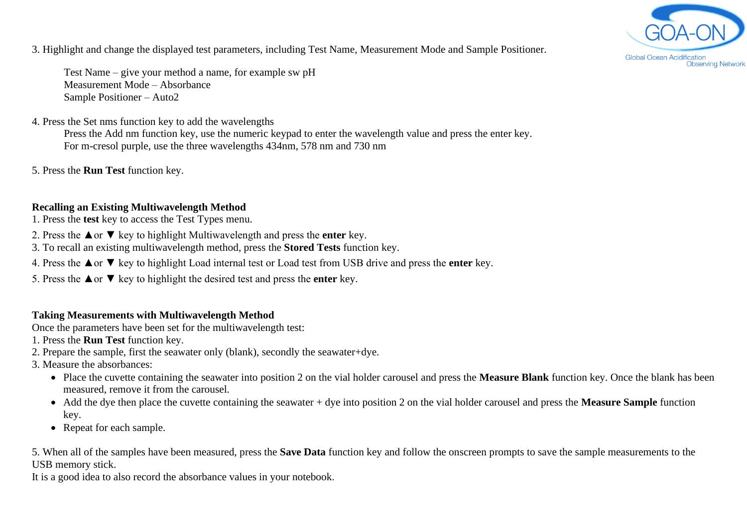

3. Highlight and change the displayed test parameters, including Test Name, Measurement Mode and Sample Positioner.

Test Name – give your method a name, for example sw pH Measurement Mode – Absorbance Sample Positioner – Auto2

#### 4. Press the Set nms function key to add the wavelengths

Press the Add nm function key, use the numeric keypad to enter the wavelength value and press the enter key. For m-cresol purple, use the three wavelengths 434nm, 578 nm and 730 nm

5. Press the **Run Test** function key.

#### **Recalling an Existing Multiwavelength Method**

- 1. Press the **test** key to access the Test Types menu.
- 2. Press the ▲or ▼ key to highlight Multiwavelength and press the **enter** key.
- 3. To recall an existing multiwavelength method, press the **Stored Tests** function key.
- 4. Press the ▲or ▼ key to highlight Load internal test or Load test from USB drive and press the **enter** key.
- 5. Press the ▲or ▼ key to highlight the desired test and press the **enter** key.

#### **Taking Measurements with Multiwavelength Method**

Once the parameters have been set for the multiwavelength test:

- 1. Press the **Run Test** function key.
- 2. Prepare the sample, first the seawater only (blank), secondly the seawater+dye.
- 3. Measure the absorbances:
	- Place the cuvette containing the seawater into position 2 on the vial holder carousel and press the **Measure Blank** function key. Once the blank has been measured, remove it from the carousel.
	- Add the dye then place the cuvette containing the seawater + dye into position 2 on the vial holder carousel and press the **Measure Sample** function key.
	- Repeat for each sample.

5. When all of the samples have been measured, press the **Save Data** function key and follow the onscreen prompts to save the sample measurements to the USB memory stick.

It is a good idea to also record the absorbance values in your notebook.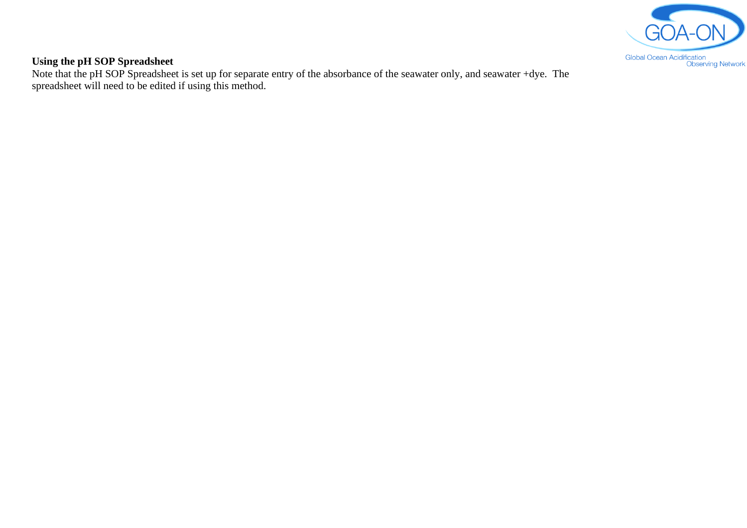

#### **Using the pH SOP Spreadsheet**

Note that the pH SOP Spreadsheet is set up for separate entry of the absorbance of the seawater only, and seawater +dye. The spreadsheet will need to be edited if using this method.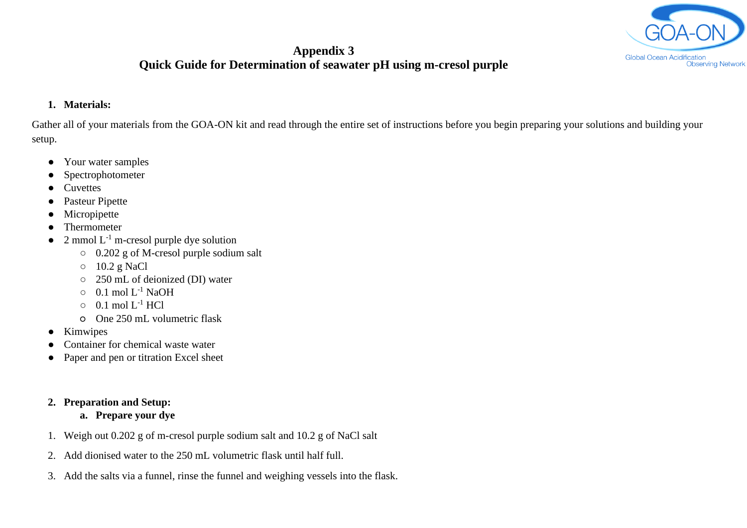

## **Appendix 3 Quick Guide for Determination of seawater pH using m-cresol purple**

#### **1. Materials:**

Gather all of your materials from the GOA-ON kit and read through the entire set of instructions before you begin preparing your solutions and building your setup.

- Your water samples
- Spectrophotometer
- Cuvettes
- Pasteur Pipette
- Micropipette
- Thermometer
- $\bullet$  2 mmol  $L^{-1}$  m-cresol purple dye solution
	- 0.202 g of M-cresol purple sodium salt
	- 10.2 g NaCl
	- 250 mL of deionized (DI) water
	- $\circ$  0.1 mol L<sup>-1</sup> NaOH
	- $\circ$  0.1 mol  $L^{-1}$  HCl
	- One 250 mL volumetric flask
- Kimwipes
- Container for chemical waste water
- Paper and pen or titration Excel sheet
- **2. Preparation and Setup:**
	- **a. Prepare your dye**
- 1. Weigh out 0.202 g of m-cresol purple sodium salt and 10.2 g of NaCl salt
- 2. Add dionised water to the 250 mL volumetric flask until half full.
- 3. Add the salts via a funnel, rinse the funnel and weighing vessels into the flask.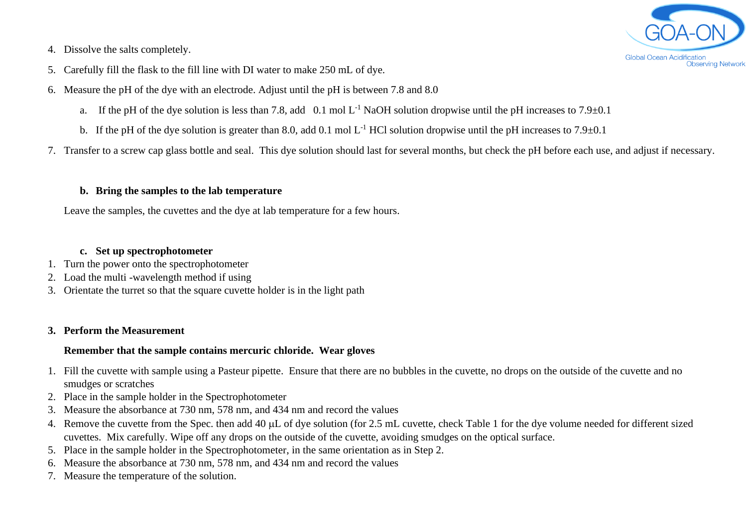

- 4. Dissolve the salts completely.
- 5. Carefully fill the flask to the fill line with DI water to make 250 mL of dye.
- 6. Measure the pH of the dye with an electrode. Adjust until the pH is between 7.8 and 8.0
	- a. If the pH of the dye solution is less than 7.8, add 0.1 mol  $L^{-1}$  NaOH solution dropwise until the pH increases to 7.9 $\pm$ 0.1
	- b. If the pH of the dye solution is greater than 8.0, add 0.1 mol  $L^{-1}$  HCl solution dropwise until the pH increases to 7.9 $\pm$ 0.1
- 7. Transfer to a screw cap glass bottle and seal. This dye solution should last for several months, but check the pH before each use, and adjust if necessary.

#### **b. Bring the samples to the lab temperature**

Leave the samples, the cuvettes and the dye at lab temperature for a few hours.

#### **c. Set up spectrophotometer**

- 1. Turn the power onto the spectrophotometer
- 2. Load the multi -wavelength method if using
- 3. Orientate the turret so that the square cuvette holder is in the light path

#### **3. Perform the Measurement**

#### **Remember that the sample contains mercuric chloride. Wear gloves**

- 1. Fill the cuvette with sample using a Pasteur pipette. Ensure that there are no bubbles in the cuvette, no drops on the outside of the cuvette and no smudges or scratches
- 2. Place in the sample holder in the Spectrophotometer
- 3. Measure the absorbance at 730 nm, 578 nm, and 434 nm and record the values
- 4. Remove the cuvette from the Spec. then add 40 µL of dye solution (for 2.5 mL cuvette, check Table 1 for the dye volume needed for different sized cuvettes. Mix carefully. Wipe off any drops on the outside of the cuvette, avoiding smudges on the optical surface.
- 5. Place in the sample holder in the Spectrophotometer, in the same orientation as in Step 2.
- 6. Measure the absorbance at 730 nm, 578 nm, and 434 nm and record the values
- 7. Measure the temperature of the solution.